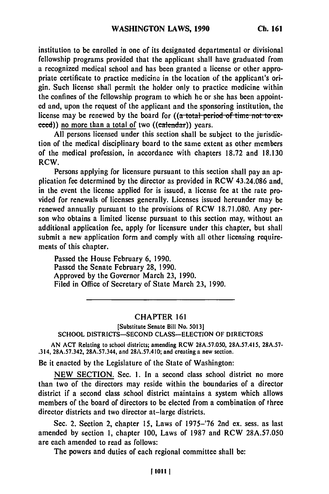institution to be enrolled in one of its designated departmental or divisional fellowship programs provided that the applicant shall have graduated from a recognized medical school and has been granted a license or other appropriate certificate to practice medicine in the location of the applicant's origin. Such license shall permit the holder only to practice medicine within the confines of the fellowship program to which he or she has been appointed and, upon the request of the applicant and the sponsoring institution, the license may be renewed by the board for  $((a + b)$  total period of time not to  $ex$ ceed)) no more than a total of two ((calendar)) years.

**All** persons licensed under this section shall be subject to the jurisdiction of the medical disciplinary board to the same extent as other members of the medical profession, in accordance with chapters **18.72** and **18.130** RCW.

Persons applying for licensure pursuant to this section shall pay an application fee determined **by** the director as provided in RCW 43.24.086 and, in the event the license applied for is issued, a license fee at the rate provided for renewals of licenses generally. Licenses issued hereunder may be renewed annually pursuant to the provisions of RCW 18.71.080. Any person who obtains a limited license pursuant to this section may, without an additional application fee, apply for licensure under this chapter, but shall submit a new application form and comply with all other licensing requirements of this chapter.

Passed the House February 6, 1990. Passcd the Senate February **28,** 1990. Approved **by** the Governor March **23,** 1990. Filed in Office of Secretary of State March **23, 1990.**

## CHAPTER 161

[Substitute Senate Bill No. **5013]** SCHOOL **DISTRICTS-SECOND** CLASS-ELECTION OF DIRECTORS

AN **ACT** Relating to school districts; amending RCW **28A.57.050, 28A.57.415, 28A.57-** .314, **28A.57.342,** 28A.57.344, and **28A.57.410;** and creating a new section.

Be it enacted **by** the Legislature of the State of Washington:

**NEW** SECTION. Sec. **1.** In a second class school district no more than two of the directors may reside within the boundaries of a director district if a second class school district maintains a system which allows members of the board of directors to be elected from a combination of three director districts and two director at-large districts.

See. 2. Section 2, chapter **15,** Laws of 1975-'76 2nd **ex.** sess. as last amended **by** section **1,** chapter **100,** Laws of **1987** and RCW 28A.57.050 are each amended to read as follows:

The powers and duties of each regional committee shall be: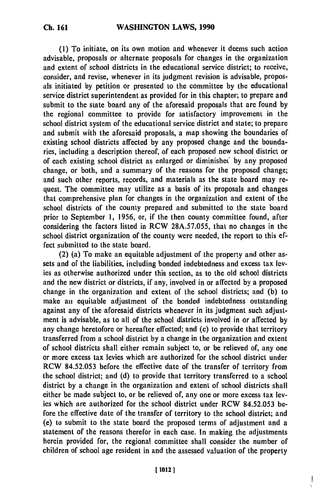**(1)** To initiate, on its own motion and whenever it deems such action advisable, proposals or alternate proposals for changes in the organization and extent of school districts in the educational service district; to receive, consider, and revise, whenever in its judgment revision is advisable, proposals initiated **by** petition or presented to the committee **by** the educational service district superintendent as provided for in this chapter; to prepare and submit to the state board any of the aforesaid proposals that are found **by** the regional committee to provide for satisfactory improvement in the school district system of the educational service district and state; to prepare and submit with the aforesaid proposals, a map showing the boundaries of existing school districts affected **by** any proposed change and the boundaries, including a description thereof, of each proposed new school district or of each existing school district as enlarged or diminishec **by** any proposed change, or both, and a summary of the reasons for the proposed change; and such other reports, records, and materials as the state board may request. The committee may utilize as a basis of its proposals and changes that comprehensive plan for changes in the organization and extent of the school districts of the county prepared and submitted to the state board prior to September **1, 1956,** or, if the then county committee found, after considering the factors listed in RCW **28A.57.055,** that no changes in the school district organization of the county were needed, the report to this effect submitted to the state board.

(2) (a) To make an equitable adjustment of the property and other assets and of the liabilities, including bonded indebtedness and excess tax levies as otherwise authorized under this section, as to the old school districts and the new district or districts, if any, involved in or affected **by** a proposed change in the organization and extent of the school districts; and **(b)** to make an equitable adjustment of the bonded indebtedness outstanding against any of the aforesaid districts whenever in its judgment such adjustment is advisable, as to all of the school districts involved in or affected **by** any change heretofore or hereafter effected; and (c) to provide that territory transferred from a school district **by** a change in the organization and extent of school districts shall either remain subject to, or be relieved of, any one or more excess tax levies which are authorized for the school district under RCW **84.52.053** before the effective date of the transfer of territory from the school district; and **(d)** to provide that territory transferred to a school district **by** a change in the organization and extent of school districts shall either be made subject to, or be relieved of, any one or more excess tax lev**ies** which are authorized for the school district under RCW **84.52.053** before the effective date of the transfer of territory to the school district; and (e) to submit to the state board the proposed terms of adjustment and a statement of the reasons therefor in each case. In making the adjustments herein provided for, the regional committee shall consider the number of children of school age resident in and the assessed valuation of the property

ł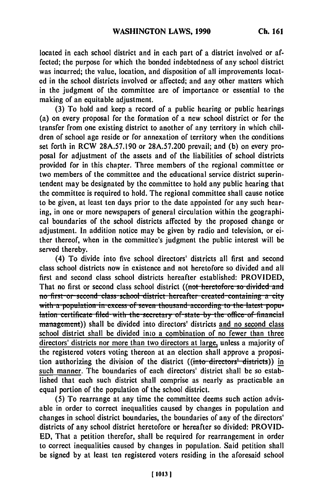located in each school district and in each part of a district involved or affected; the purpose for which the bonded indebtedness of any school district was incurred; the value, location, and disposition of all improvements located in the school districts involved or affected; and any other matters which in the judgment of the committee are of importance or essential to the making of an equitable adjustment.

**(3)** To hold and keep a record of a public hearing or public hearings (a) on every proposal for the formation of a new school district or for the transfer from one existing district to another of any territory in which children of school age reside or for annexation of territory when the conditions set forth in RCW **28A.57.190** or **28A.57.200** prevail; and **(b)** on every proposal for adjustment of the assets and of the liabilities of school districts provided for in this chapter. Three members of the regional committee or two members of the committee and the educational service district superintendent may be designated **by** the committee to hold any public hearing that the committee is required to hold. The regional committee shall cause notice to be given, at least ten days prior to the date appointed for any such hearing, in one or more newspapers of general circulation within the geographical boundaries of the school districts affected **by** the proposed change or adjustment. In addition notice may be given **by** radio and television, or either thereof, when in the committee's judgment the public interest will be served thereby.

(4) To divide into five school directors' districts all first and second class school districts now in existence and not heretofore so divided and all first and second class school districts hereafter established: PROVIDED, That no first or second class school district ((not heretofore so divided and **110** first-or-second class-school district hereafter created-containing a city with a population in excess of seven thousand according to the latest popu-<br>lation certificate filed with the secretary of state by the office of financial management)) shall be divided into directors' districts and no second class school district shall be divided into a combination of no fewer than three directors' districts nor more than two directors at large, unless a majority of the registered voters voting thereon at an election shall approve a proposition authorizing the division of the district ((into directors' districts)) in such manner. The boundaries of each directors' district shall be so established that each such district shall comprise as nearly as practicable an equal portion of the population of the school district.

**(5)** To rearrange at any time the committee deems such action advisable in order to correct inequalities caused **by** changes in population and changes in school district boundaries, the boundaries of any of the directors' districts of any school district heretofore or hereafter so divided: PROVID-**ED,** That a petition therefor, shall be required for rearrangement in order to correct inequalities caused **by** changes in population. Said petition shall be signed **by** at least ten registered voters residing in the aforesaid school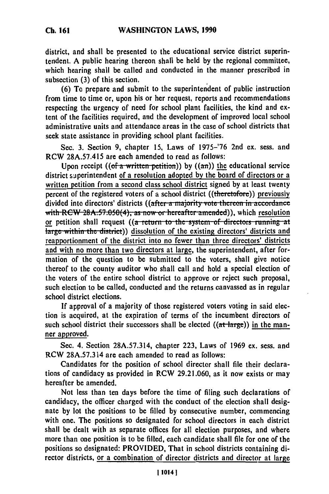district, and shall be presented to the educational service district superintendent. A public hearing thereon shall be held **by** the regional committee, which hearing shall be called and conducted in the manner prescribed in subsection **(3)** of this section.

**(6)** To prepare and submit to the superintendent of public instruction from time to time or, upon his or her request, reports and recommendations respecting the urgency of need for school plant facilities, the kind and extent of the facilities required, and the development of improved local school administrative units and attendance areas in the case of school districts that seek state assistance in providing school plant facilities.

Sec. **3.** Section **9,** chapter **15,** Laws of **1975-'76** 2nd ex. sess. and RCW **28A.57.415** are each amended to read as follows:

Upon receipt  $((of a written pettition))$  by  $((an))$  the educational service district saperintendent of a resolution adopted **by** the board of directors or a written petition from a second class school district signed **by** at least twenty percent of the registered voters of a school district ((theretofore)) previously divided into directors' districts ((after a majority vote thereon in accordance with RCW 28A.57.050(4), as now or hereafter amended), which resolution or petition shall request ((a return to the system of directors running at large within the district)) dissolution of the existing directors' districts and reapportionment of the district into no fewer than three directors' districts and with no more than two directors at large, the superintendent, after formation of the question to be submitted to the voters, shall give notice thereof to the county auditor who shall call and hold a special election of the voters of the entire school district to approve or reject such proposal, such election to be called, conducted and the returns canvassed as in regular school district elections.

**If** approval of a majority of those registered voters voting in said election is acquired, at the expiration of terms of the incumbent directors of such school district their successors shall be elected  $((at-large))$  in the manner approved.

Sec. 4. Section 28A.57.314, chapter **223,** Laws of 1969 ex. sess. and RCW **28A.57.314** are each amended to read as follows:

Candidates for the position of school director shall file their declarations of candidacy as provided in RCW 29.21.060, as it now exists or may hereafter be amended.

Not less than ten days before the time of filing such declarations of candidacy, the officer charged with the conduct of the election shall designate **by** lot the positions to **be** filled **by** consecutive number, commencing with one. The positions so designated for school directors in each district shall be dealt with as separate offices for all election purposes, and where more than one position is to be filled, each candidate shall file for one of the positions so designated: PROVIDED, That in school districts containing director districts, or a combination of director districts and director at large

**Ch. 161**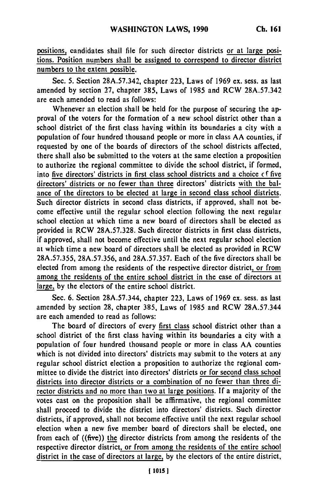positions, candidates shall file for such director districts or at large positions. Position numbers shall be assigned to correspond to director district numbers to the extent possible.

Sec. **5.** Section **28A.57.342,** chapter **223,** Laws of **1969** ex. sess. as last amended **by** section **27,** chapter **385,** Laws of **1985** and RCW **28A.57.342** are each amended to read as follows:

Whenever an election shall be held for the purpose of securing the approval of the voters for the formation of a new school district other than a school district of the first class having within its boundaries a city with a population of four hundred thousand people or more in class AA counties, if requested **by** one of the boards of directors of the school districts affected, there shall also be submitted to the voters at the same election a proposition to authorize the regional committee to divide the school district, if formed, into five directors' districts in first class school districts and a choice  $cf$  five directors' districts or no fewer than three directors' districts with the balance of the directors to be elected at large in second class school districts. Such director districts in second class districts, if approved, shall not become effective until the regular school election following the next regular school election at which time a new board of directors shall be elected as provided in RCW **28A.57.328.** Such director districts in first class districts, if approved, shall not become effective until the next regular school election at which time a new board of directors shall be elected as provided in RCW **28A.57.355, 28A.57.356,** and **28A.57.357.** Each of the five directors shall be elected from among the residents of the respective director district, or from among the residents of the entire school district in **the** case of directors at large, by the electors of the entire school district.

Sec. **6.** Section **28A.57.344,** chapter **223,** Laws of **1969** ex. sess. as last amended **by** section **28,** chapter **385,** Laws of **1985** and RCW **28A.57.344** are each amended to read as follows:

The board of directors of every first class school district other than a school district of the first class having within its boundaries a city with a population of four hundred thousand people or more in class **AA** counties which is not divided into directors' districts may submit to the voters at any regular school district election a proposition to authorize the regional committee to divide the district into directors' districts or for second class school districts into director districts or a combination of no fewer than three director districts and no more than two at large positions. **If** a majority of the votes cast on the proposition shall be affirmative, the regional committee shall proceed to divide the district into directors' districts. Such director districts, if approved, shall not become effective until the next regular school election when a new five member board of directors shall be elected, one from each of  $((\text{five}))$  the director districts from among the residents of the respective director district, or from among the residents of the entire school district in the case of directors at large, **by** the electors of the entire district,